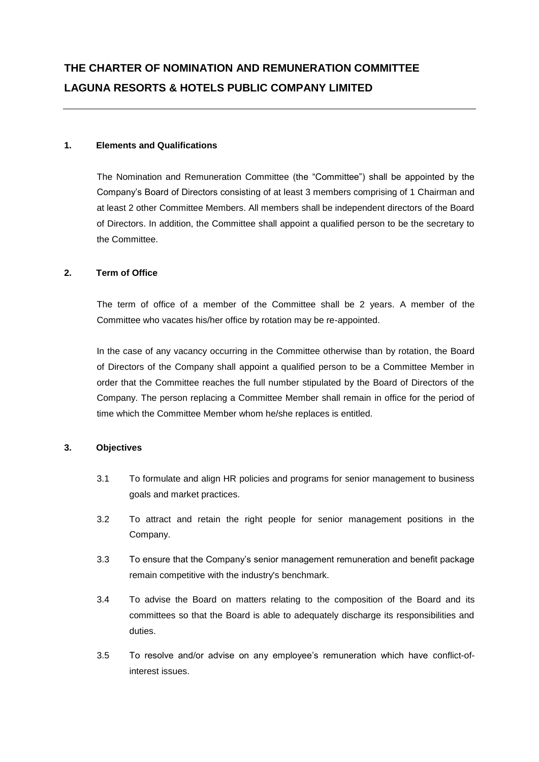# **1. Elements and Qualifications**

The Nomination and Remuneration Committee (the "Committee") shall be appointed by the Company's Board of Directors consisting of at least 3 members comprising of 1 Chairman and at least 2 other Committee Members. All members shall be independent directors of the Board of Directors. In addition, the Committee shall appoint a qualified person to be the secretary to the Committee.

## **2. Term of Office**

The term of office of a member of the Committee shall be 2 years. A member of the Committee who vacates his/her office by rotation may be re-appointed.

In the case of any vacancy occurring in the Committee otherwise than by rotation, the Board of Directors of the Company shall appoint a qualified person to be a Committee Member in order that the Committee reaches the full number stipulated by the Board of Directors of the Company. The person replacing a Committee Member shall remain in office for the period of time which the Committee Member whom he/she replaces is entitled.

# **3. Objectives**

- 3.1 To formulate and align HR policies and programs for senior management to business goals and market practices.
- 3.2 To attract and retain the right people for senior management positions in the Company.
- 3.3 To ensure that the Company's senior management remuneration and benefit package remain competitive with the industry's benchmark.
- 3.4 To advise the Board on matters relating to the composition of the Board and its committees so that the Board is able to adequately discharge its responsibilities and duties.
- 3.5 To resolve and/or advise on any employee's remuneration which have conflict-ofinterest issues.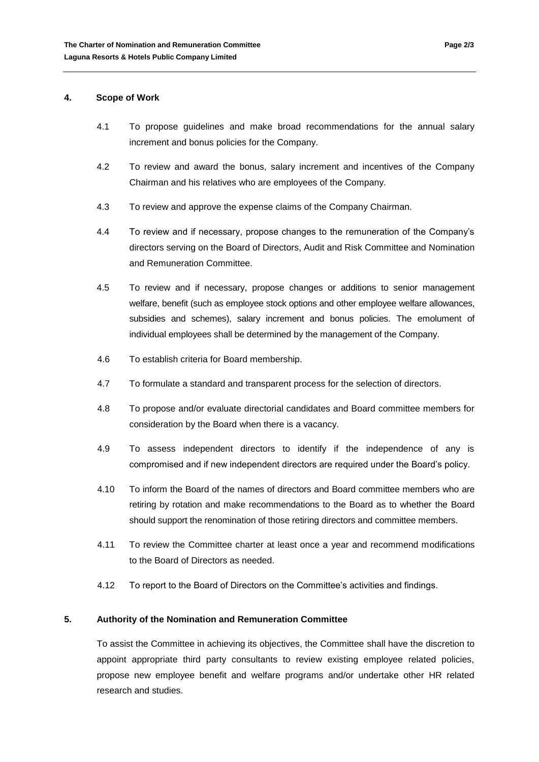#### **4. Scope of Work**

- 4.1 To propose guidelines and make broad recommendations for the annual salary increment and bonus policies for the Company.
- 4.2 To review and award the bonus, salary increment and incentives of the Company Chairman and his relatives who are employees of the Company.
- 4.3 To review and approve the expense claims of the Company Chairman.
- 4.4 To review and if necessary, propose changes to the remuneration of the Company's directors serving on the Board of Directors, Audit and Risk Committee and Nomination and Remuneration Committee.
- 4.5 To review and if necessary, propose changes or additions to senior management welfare, benefit (such as employee stock options and other employee welfare allowances, subsidies and schemes), salary increment and bonus policies. The emolument of individual employees shall be determined by the management of the Company.
- 4.6 To establish criteria for Board membership.
- 4.7 To formulate a standard and transparent process for the selection of directors.
- 4.8 To propose and/or evaluate directorial candidates and Board committee members for consideration by the Board when there is a vacancy.
- 4.9 To assess independent directors to identify if the independence of any is compromised and if new independent directors are required under the Board's policy.
- 4.10 To inform the Board of the names of directors and Board committee members who are retiring by rotation and make recommendations to the Board as to whether the Board should support the renomination of those retiring directors and committee members.
- 4.11 To review the Committee charter at least once a year and recommend modifications to the Board of Directors as needed.
- 4.12 To report to the Board of Directors on the Committee's activities and findings.

### **5. Authority of the Nomination and Remuneration Committee**

To assist the Committee in achieving its objectives, the Committee shall have the discretion to appoint appropriate third party consultants to review existing employee related policies, propose new employee benefit and welfare programs and/or undertake other HR related research and studies.